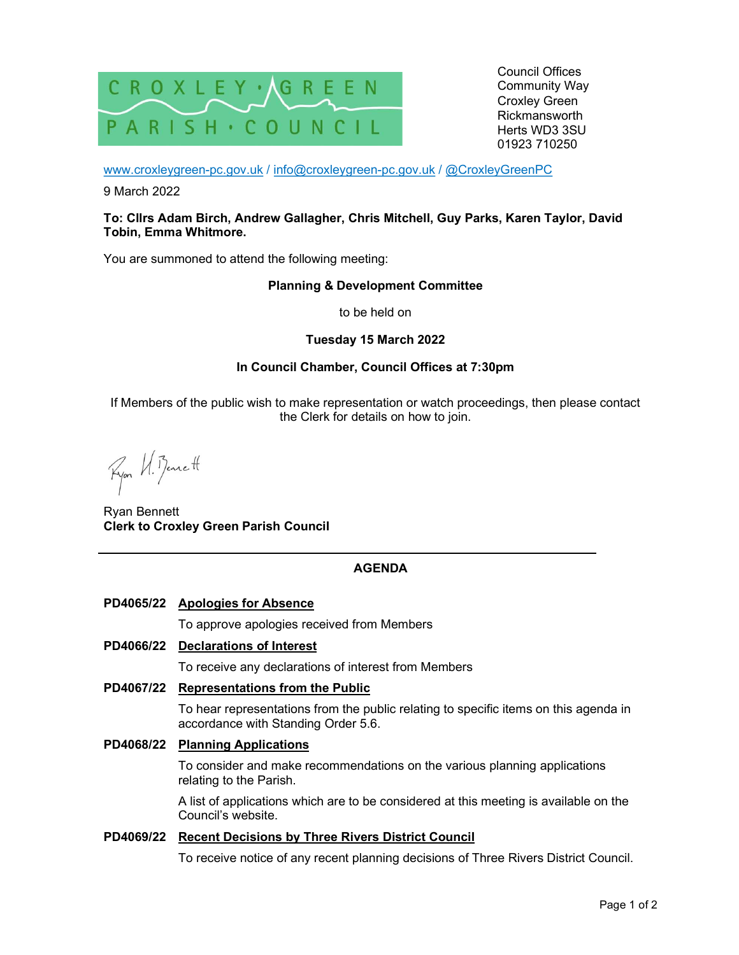

Council Offices Community Way Croxley Green Rickmansworth Herts WD3 3SU 01923 710250

www.croxleygreen-pc.gov.uk / info@croxleygreen-pc.gov.uk / @CroxleyGreenPC

9 March 2022

### To: Cllrs Adam Birch, Andrew Gallagher, Chris Mitchell, Guy Parks, Karen Taylor, David Tobin, Emma Whitmore.

You are summoned to attend the following meeting:

#### Planning & Development Committee

to be held on

## Tuesday 15 March 2022

## In Council Chamber, Council Offices at 7:30pm

If Members of the public wish to make representation or watch proceedings, then please contact the Clerk for details on how to join.

Fyor U. Benett

Ryan Bennett Clerk to Croxley Green Parish Council

# AGENDA

# PD4065/22 Apologies for Absence

To approve apologies received from Members

## PD4066/22 Declarations of Interest

To receive any declarations of interest from Members

#### PD4067/22 Representations from the Public

To hear representations from the public relating to specific items on this agenda in accordance with Standing Order 5.6.

# PD4068/22 Planning Applications

To consider and make recommendations on the various planning applications relating to the Parish.

A list of applications which are to be considered at this meeting is available on the Council's website.

#### PD4069/22 Recent Decisions by Three Rivers District Council

To receive notice of any recent planning decisions of Three Rivers District Council.